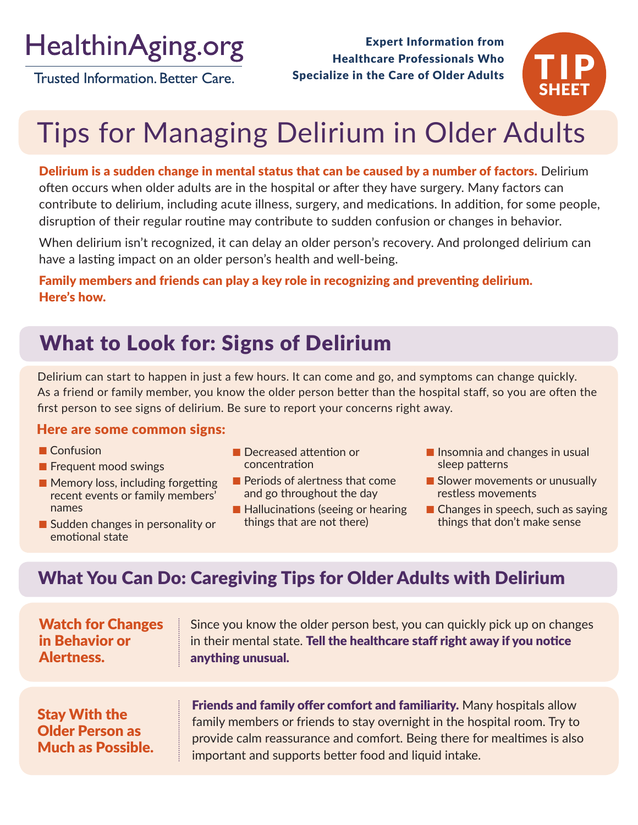HealthinAging.org

**Trusted Information, Better Care.** 

Expert Information from Healthcare Professionals Who Specialize in the Care of Older Adults



# Tips for Managing Delirium in Older Adults

Delirium is a sudden change in mental status that can be caused by a number of factors. Delirium often occurs when older adults are in the hospital or after they have surgery. Many factors can contribute to delirium, including acute illness, surgery, and medications. In addition, for some people, disruption of their regular routine may contribute to sudden confusion or changes in behavior.

When delirium isn't recognized, it can delay an older person's recovery. And prolonged delirium can have a lasting impact on an older person's health and well-being.

#### Family members and friends can play a key role in recognizing and preventing delirium. Here's how.

# What to Look for: Signs of Delirium

Delirium can start to happen in just a few hours. It can come and go, and symptoms can change quickly. As a friend or family member, you know the older person better than the hospital staff, so you are often the first person to see signs of delirium. Be sure to report your concerns right away.

#### Here are some common signs:

- **n** Confusion
- $\blacksquare$  Frequent mood swings
- $\blacksquare$  Memory loss, including forgetting recent events or family members' names
- $\blacksquare$  Sudden changes in personality or emotional state
- **n** Decreased attention or concentration
- **n** Periods of alertness that come and go throughout the day
- $\blacksquare$  Hallucinations (seeing or hearing things that are not there)
- **n** Insomnia and changes in usual sleep patterns
- **n** Slower movements or unusually restless movements
- $\blacksquare$  Changes in speech, such as saying things that don't make sense

## What You Can Do: Caregiving Tips for Older Adults with Delirium

| <b>Watch for Changes</b>                                                   | Since you know the older person best, you can quickly pick up on changes                                                                                                                                                                                                               |
|----------------------------------------------------------------------------|----------------------------------------------------------------------------------------------------------------------------------------------------------------------------------------------------------------------------------------------------------------------------------------|
| in Behavior or                                                             | in their mental state. Tell the healthcare staff right away if you notice                                                                                                                                                                                                              |
| Alertness.                                                                 | anything unusual.                                                                                                                                                                                                                                                                      |
| <b>Stay With the</b><br><b>Older Person as</b><br><b>Much as Possible.</b> | Friends and family offer comfort and familiarity. Many hospitals allow<br>family members or friends to stay overnight in the hospital room. Try to<br>provide calm reassurance and comfort. Being there for mealtimes is also<br>important and supports better food and liquid intake. |